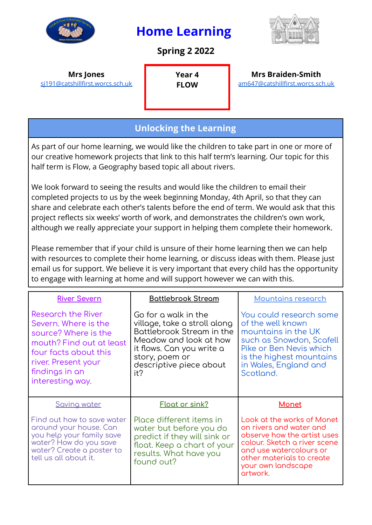

## **Home Learning**

**Spring 2 2022**



## **Mrs Jones** [sj191@catshillfirst.worcs.sch.uk](mailto:sj191@catshillfirst.worcs.sch.uk)

**Year 4 FLOW**

**Mrs Braiden-Smith** [am647@catshillfirst.worcs.sch.uk](mailto:amb647@catshillfirst.worcs.sch.uk)

## **Unlocking the Learning**

As part of our home learning, we would like the children to take part in one or more of our creative homework projects that link to this half term's learning. Our topic for this half term is Flow, a Geography based topic all about rivers.

We look forward to seeing the results and would like the children to email their completed projects to us by the week beginning Monday, 4th April, so that they can share and celebrate each other's talents before the end of term. We would ask that this project reflects six weeks' worth of work, and demonstrates the children's own work, although we really appreciate your support in helping them complete their homework.

Please remember that if your child is unsure of their home learning then we can help with resources to complete their home learning, or discuss ideas with them. Please just email us for support. We believe it is very important that every child has the opportunity to engage with learning at home and will support however we can with this.

| <b>River Severn</b>                                                                                                                                                                         | <b>Battlebrook Stream</b>                                                                                                                                                                    | <b>Mountains research</b>                                                                                                                                                                                      |
|---------------------------------------------------------------------------------------------------------------------------------------------------------------------------------------------|----------------------------------------------------------------------------------------------------------------------------------------------------------------------------------------------|----------------------------------------------------------------------------------------------------------------------------------------------------------------------------------------------------------------|
| <b>Research the River</b><br>Severn. Where is the<br>source? Where is the<br>mouth? Find out at least<br>four facts about this<br>river. Present your<br>findings in an<br>interesting way. | Go for a walk in the<br>village, take a stroll along<br>Battlebrook Stream in the<br>Meadow and look at how<br>it flows. Can you write a<br>story, poem or<br>descriptive piece about<br>it? | You could research some<br>of the well known<br>mountains in the UK<br>such as Snowdon, Scafell<br>Pike or Ben Nevis which<br>is the highest mountains<br>in Wales, England and<br>Scotland.                   |
| Saving water                                                                                                                                                                                | <b>Float or sink?</b>                                                                                                                                                                        | <b>Monet</b>                                                                                                                                                                                                   |
| Find out how to save water<br>around your house. Can<br>you help your family save<br>water? How do you save<br>water? Create a poster to<br>tell us all about it.                           | Place different items in<br>water but before you do<br>predict if they will sink or<br>float. Keep a chart of your<br>results. What have you<br>found out?                                   | Look at the works of Monet<br>on rivers and water and<br>observe how the artist uses<br>colour. Sketch a river scene<br>and use watercolours or<br>other materials to create<br>your own landscape<br>artwork. |